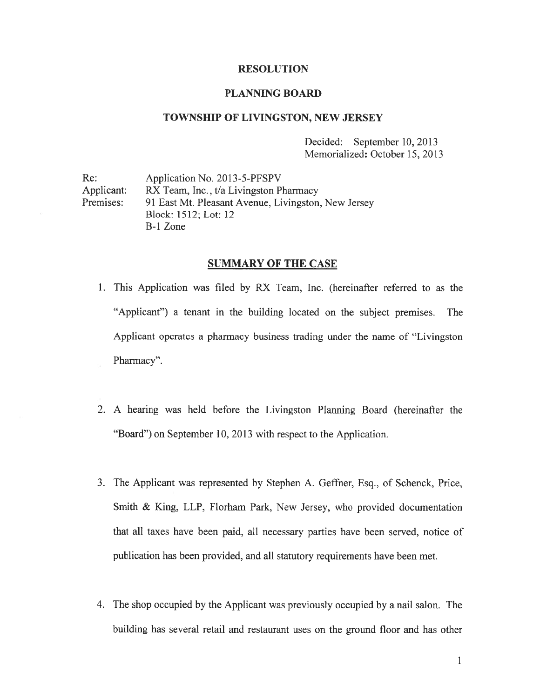# RESOLUTION

# PLANNING BOARD

# TOWNSHIP OF LIVINGSTON, NEW JERSEY

Decided: September 10, 2013 Memorialized: October 15, 2013

Re: Application No. 2013-5-PFSPV Applicant: RX Team, Inc., t/a Livingston Pharmacy Premises: 91 East Mt. Pleasant Avenue, Livingston. New Jersey Block: 1512; Lot: 12 B-i Zone

# SUMMARY OF THE CASE

- 1. This Application was filed by RX Team. Inc. (hereinafter referred to as the 'Applicant") <sup>a</sup> tenant in the building located on the subject premises. The Applicant operates <sup>a</sup> pharmacy business trading under the name of "Livingston Pharmacy".
- 2. A hearing was held before the Livingston Planning Board (hereinafter the "Board") on September 10, 2013 with respec<sup>t</sup> to the Application.
- 3. The Applicant was represented by Stephen A. Geffner, Esq., of Schenck, Price, Smith & King, LLP, Florham Park, New Jersey, who provided documentation that all taxes have been paid, all necessary parties have been served, notice of publication has been provided, and all statutory requirements have been met.
- 4. The shop occupied by the Applicant was previously occupied by <sup>a</sup> nail salon. The building has several retail and restaurant uses on the ground floor and has other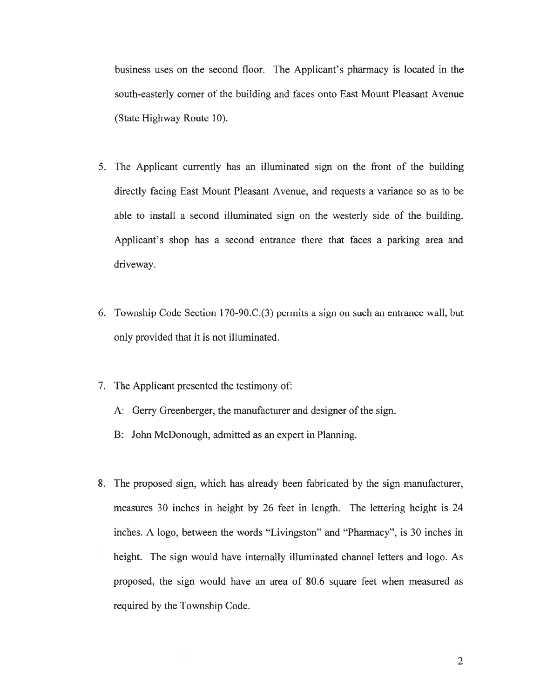business uses on the second floor. The Applicant's pharmacy is located in the south-easterly corner of the building and faces onto East Mount Pleasant Avenue (State Highway Route 10).

- 5. The Applicant currently has an illuminated sign on the front of the building directly facing East Mount Pleasant Avenue, and requests <sup>a</sup> variance so as to be able to install <sup>a</sup> second illuminated sign on the westerly side of the building. Applicant's shop has <sup>a</sup> second entrance there that faces <sup>a</sup> parking area and driveway.
- 6. Township Code Section 170-90.C.(3) permits <sup>a</sup> sign on such an entrance wall, but only provided that it is not illuminated.
- 7. The Applicant presented the testimony of:
	- A: Gerry Greenberger, the manufacturer and designer of the sign.
	- B: John McDonough, admitted as an exper<sup>t</sup> in Planning.
- 8. The proposed sign, which has already been fabricated by the sign manufacturer, measures 30 inches in height by 26 feet in length. The lettering height is 24 inches. A logo, between the words "Livingston" and "Pharmacy", is 30 inches in height. The sign would have internally illuminated channel letters and logo. As proposed, the sign would have an area of 80.6 square feet when measured as required by the Township Code.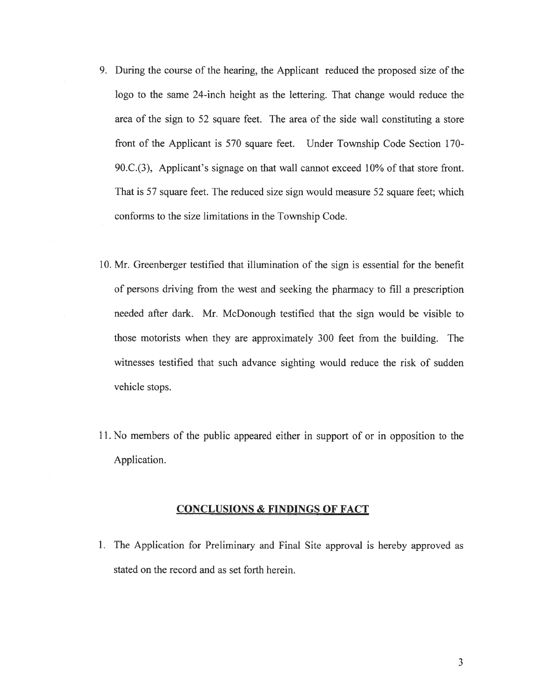- 9. During the course of the hearing, the Applicant reduced the proposed size of the logo to the same 24-inch height as the lettering. That change would reduce the area of the sign to 52 square feet. The area of the side wall constituting <sup>a</sup> store front of the Applicant is 570 square feet. Under Township Code Section 170- 90.C.(3). Applicant's signage on that wall cannot exceed  $10\%$  of that store front. That is 57 square feet. The reduced size sign would measure 52 square feet; which conforms to the size limitations in the Township Code.
- 10. Mr. Greenberger testified that illumination of the sign is essential for the benefit of persons driving from the west and seeking the pharmacy to fill <sup>a</sup> prescription needed after dark. Mr. McDonough testified that the sign would be visible to those motorists when they are approximately 300 feet from the building. The witnesses testified that such advance sighting would reduce the risk of sudden vehicle stops.
- 11. No members of the public appeared either in suppor<sup>t</sup> of or in opposition to the Application.

# CONCLUSIONS & FINDINGS OF FACT

1. The Application for Preliminary and Final Site approval is hereby approved as stated on the record and as set forth herein.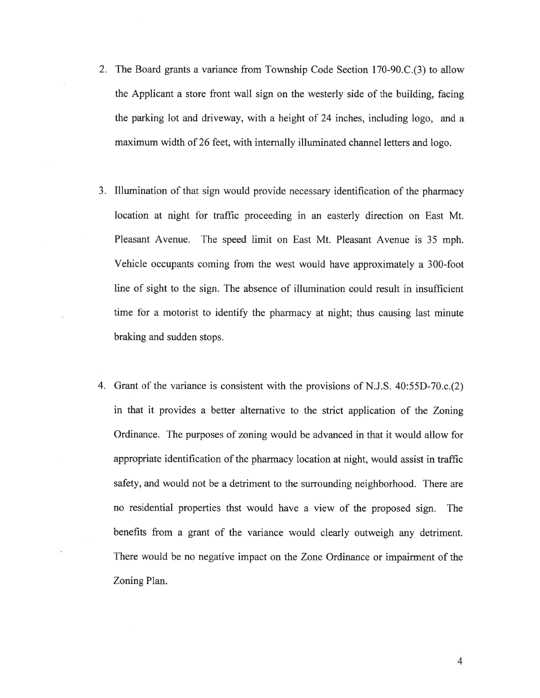- 2. The Board grants <sup>a</sup> variance from Township Code Section 170-90.C.(3) to allow the Applicant <sup>a</sup> store front wall sign on the westerly side of the building, facing the parking lot and driveway, with <sup>a</sup> height of 24 inches, including logo, and <sup>a</sup> maximum width of 26 feet, with internally illuminated channel letters and logo.
- 3. Illumination of that sign would provide necessary identification of the pharmacy location at night for traffic proceeding in an easterly direction on East Mt. Pleasant Avenue. The speed limit on East Mt. Pleasant Avenue is 35 mph. Vehicle occupants coming from the west would have approximately <sup>a</sup> 300-foot line of sight to the sign. The absence of illumination could result in insufficient time for <sup>a</sup> motorist to identify the pharmacy at night; thus causing last minute braking and sudden stops.
- 4. Grant of the variance is consistent with the provisions of N.J.S. 40:55D-70.c.(2) in that it provides <sup>a</sup> better alternative to the strict application of the Zoning Ordinance. The purposes of zoning would be advanced in that it would allow for appropriate identification of the pharmacy location at night, would assist in traffic safety, and would not be <sup>a</sup> detriment to the surrounding neighborhood. There are no residential properties thst would have <sup>a</sup> view of the proposed sign. The benefits from <sup>a</sup> gran<sup>t</sup> of the variance would clearly outweigh any detriment. There would be no negative impact on the Zone Ordinance or impairment of the Zoning Plan.